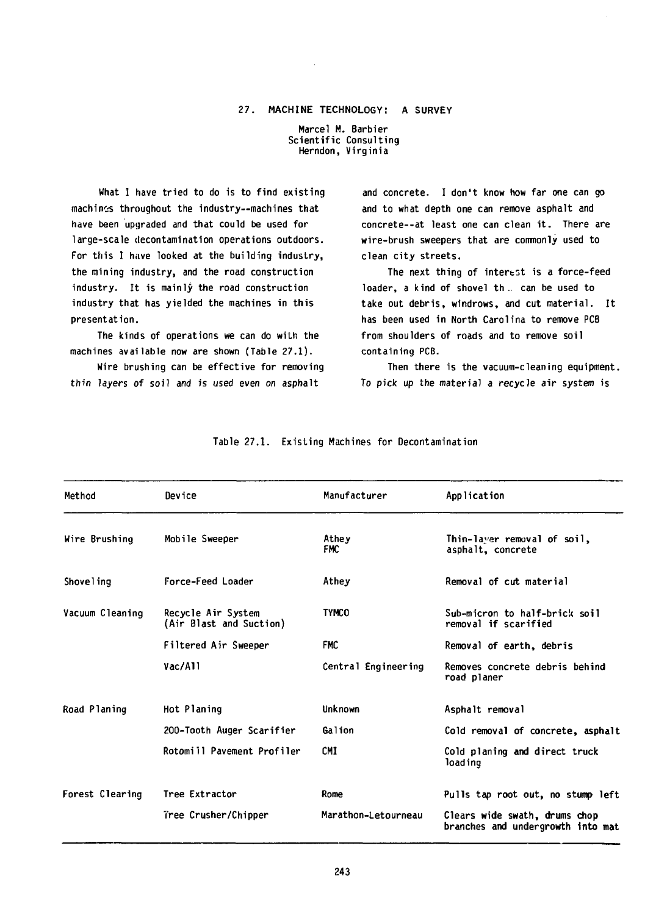## 27. MACHINE TECHNOLOGY: A SURVEY

Marcel M. Barbier Scientific Consulting Herndon, Virginia

What I have tried to do is to find existing machines throughout the industry—machines that have been upgraded and that could be used for large-scale decontamination operations outdoors. For this I have looked at the building industry, the mining industry, and the road construction industry. It is mainly the road construction industry that has yielded the machines in this presentation.

The kinds of operations we can do with the machines available now are shown (Table 27.1).

Wire brushing can be effective for removing thin layers of soil and is used even on asphalt

and concrete. I don't know how far one can go and to what depth one can remove asphalt and concrete--at least one can clean it. There are wire-brush sweepers that are commonly used to clean city streets.

The next thing of interest is a force-feed loader, a kind of shovel th .. can be used to take out debris, windrows, and cut material. It has been used in North Carolina to remove PCB from shoulders of roads and to remove soil containing PCB.

Then there is the vacuum-cleaning equipment. To pick up the material a recycle air system is

| Method          | Device                                        | Manufacturer        | Application                                                        |
|-----------------|-----------------------------------------------|---------------------|--------------------------------------------------------------------|
| Wire Brushing   | Mobile Sweeper                                | Athey<br>FMC        | Thin-laver removal of soil,<br>asphalt, concrete                   |
| Shoveling       | Force-Feed Loader                             | Athey               | Removal of cut material                                            |
| Vacuum Cleaning | Recycle Air System<br>(Air Blast and Suction) | <b>TYMCO</b>        | Sub-micron to half-brick soil<br>removal if scarified              |
|                 | Filtered Air Sweeper                          | <b>FMC</b>          | Removal of earth, debris                                           |
|                 | Vac/All                                       | Central Engineering | Removes concrete debris behind<br>road planer                      |
| Road Planing    | Hot Planing                                   | Unknown             | Asphalt removal                                                    |
|                 | 200-Tooth Auger Scarifier                     | Galion              | Cold removal of concrete, asphalt                                  |
|                 | Rotomill Pavement Profiler                    | <b>CMI</b>          | Cold planing and direct truck<br>loading                           |
| Forest Clearing | Tree Extractor                                | Rome                | Pulls tap root out, no stump left                                  |
|                 | Tree Crusher/Chipper                          | Marathon-Letourneau | Clears wide swath, drums chop<br>branches and undergrowth into mat |

## Table 27.1. Existing Machines for Decontamination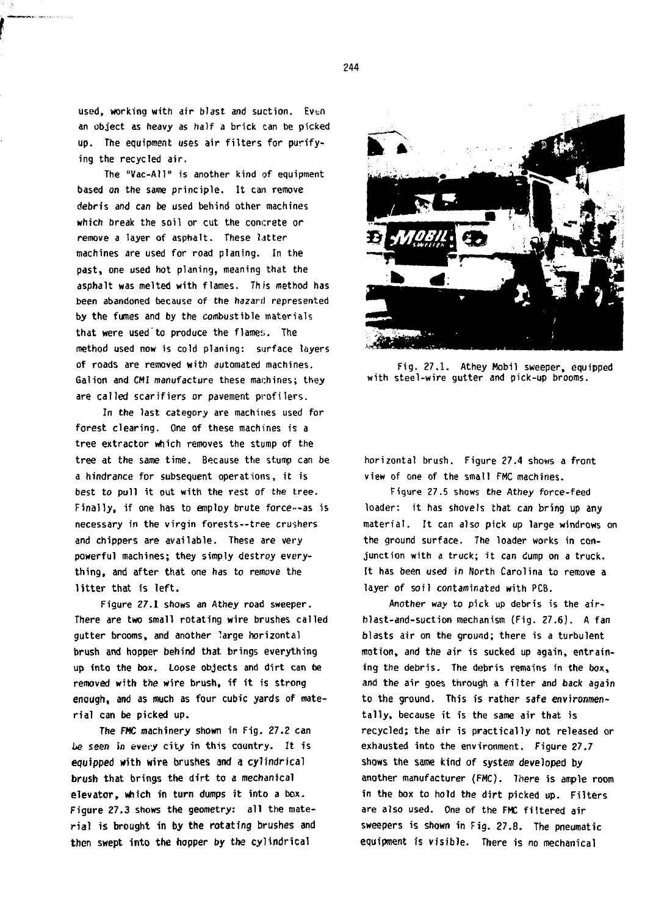used, working with air blast and suction. Even **an object as heavy as half a brick can be picked up. The equipment uses air filters for purifying the recycled air.**

**The "Vac-All" is another kind of equipment based on the same principle. It can remove debris and can be used behind other machines which break the soil or cut the concrete or remove a layer of asphalt. These Litter machines are used for road planing. In the past, one used hot planing, meaning that the asphalt was melted with flames. This method has been abandoned because of the hazard represented by the fumes and by the combustible materials that were used to produce the flame;;. The method used now is cold planing: surface layers of roads are removed with automated machines. Gal ion and CMI manufacture these machines; they are called scarifiers or pavement profilers.**

**In the last category are machines used for forest clearing. One of these machines is a tree extractor which removes the stump of the tree at the same time. Because the stump can be a hindrance for subsequent operations, it is best to pull it out with the rest of the tree. Finally, if one has to employ brute force—as is necessary in the virgin forests--tree crushers and chippers are available. These are very powerful machines; they simply destroy everything, and after that one has to remove the litter that is left.**

**Figure 27.1 shows an Athey road sweeper. There are two small rotating wire brushes called gutter brooms, and another large horizontal brush and hopper behind that brings everything up into the box. Loose objects and dirt can be removed with the wire brush, if it is strong enough, and as much as four cubic yards of material can be picked up.**

**The FMC machinery shown in Fig. 27.2 can be seen in every city in this country. It is equipped with wire brushes and a cylindrical brush that brings the dirt to a mechanical elevator, which in turn dumps it into a box. Figure 27.3 shows the geometry: all the material is brought in by the rotating brushes and then swept into the hopper by the cylindrical**



**Fig. 27.1. Athey Mobil sweeper, equipped with steel-wire gutter and pick-up brooms.**

**horizontal brush. Figure 27.4 shovis a front view of one of the small FMC machines.**

**Figure 27.5 shows the Athey force-feed loader: it has shovels that can bring up any material. It can also pick up large windrows on the ground surface. The loader works in conjunction with a truck; it can dump on a truck, tt has been used in North Carolina to remove a layer of soil contaminated with PCB.**

**Another way to pick up debris is the airblast-and-suction mechanism (Fig. 27.6). A fan blasts air on the ground; there is a turbulent motion, and the air is sucked up again, entraining the debris. The debris remains in the box, and the air goes through a filter and back again to the ground. This is rather safe environmentally, because it is the same air that is recycled; the air is practically not released or exhausted into the environment. Figure 27.7 shows the same kind of system developed by another manufacturer (FMC). There is ample room in the box to hold the dirt picked up. Filters are also used. One of the FMC fiitered air sweepers is shown in Fig. 27.8. The pneumatic equipment is visible. There is no mechanical**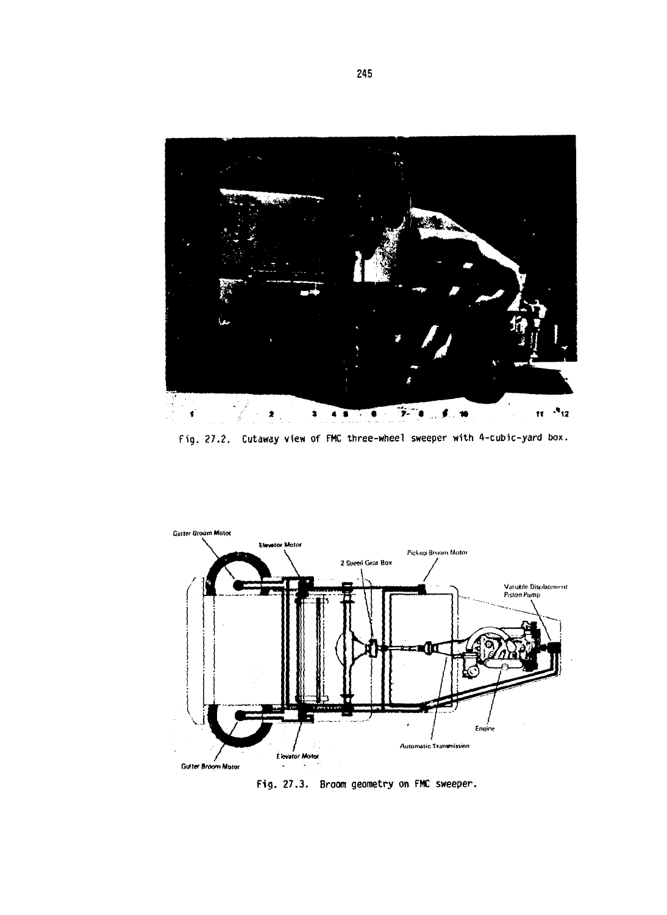

Fig. 27.2. Cutaway view of FMC three-wheel sweeper with 4-cubic-yard box.



Fig. 27.3. Broom geometry on FMC sweeper.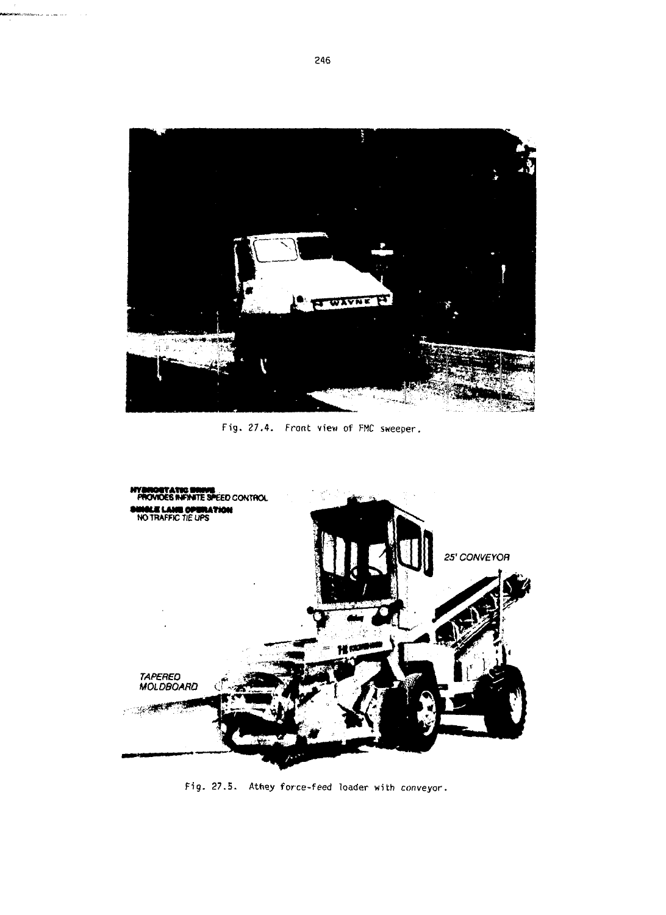

Fig. 27.4. Front view of FMC sweeper.



Fig. 27.5. Athey force-feed loader with conveyor.

.<br>Matematik in can ber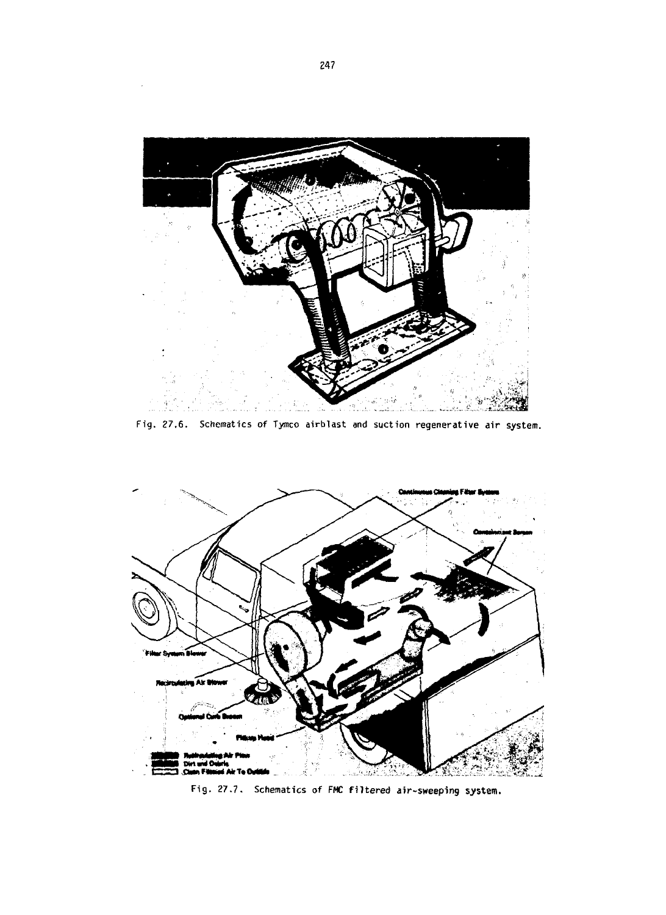

Fig. 27.6. Schematics of Tymco airblast and suction regenerative air system.



Fig. 27.7. Schematics of FMC filtered air-sweeping system.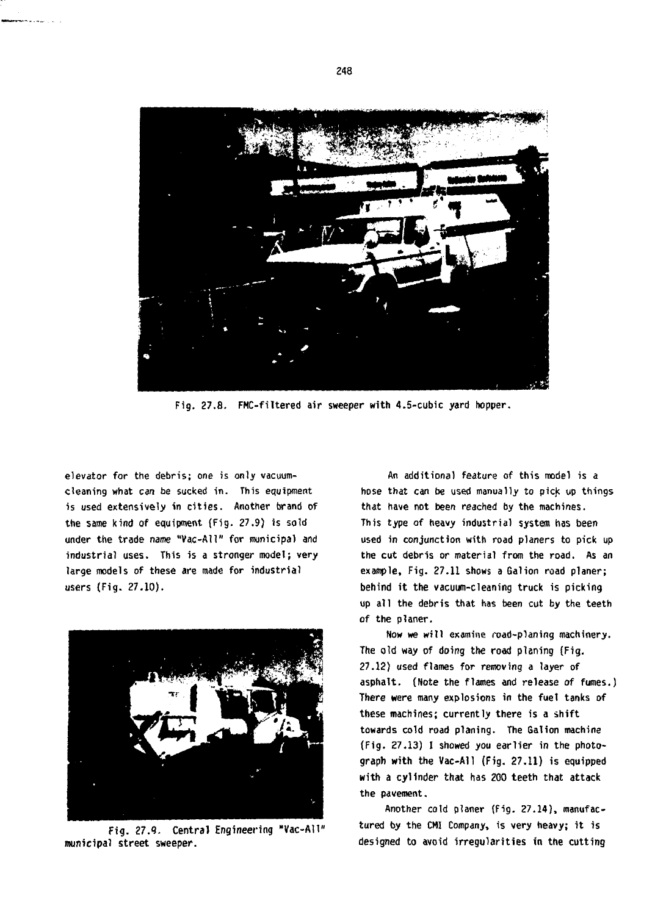

**Fig. 27.8. FMC-filtered air sweeper with 4.5-cubic yard hopper.**

**elevator for the debris; one is only vacuumcleaning what can be sucked in. This equipment is used extensively in cities. Another brand of the same kind of equipment (Fig. 27.9) is sold under the trade name "Vac-AU" for municipal and industrial uses. This is a stronger model; very large models of these are made for industrial users (Fig. 27.10).**



**Fig. 27.9. Central Engineering "Vac-All" municipal street sweeper.**

**An additional feature of this model is a hose that can be used manually to pick up things that have not been reached by the machines. This type of heavy industrial system has been used in conjunction with road planers to pick up the cut debris or material from the road. As an example, Fig. 27.11 shows a Gal ion road planer; behind it the vacuum-cleaning truck is picking up all the debris that has been cut by the teeth of the planer.**

**Now we will examine road-planing machinery. The old way of doing the road planing (Fig. 27.12) used flames for removing a layer of asphalt. (Note the flames and release of fumes.) There were many explosions in the fuel tanks of these machines; currently there is a shift towards cold road planing. The Gal ion machine (Fig. 27.13) I showed you earlier in the photograph with the Vac-All (Fig. 27.11) is equipped with a cylinder that has 200 teeth that attack the pavement.**

**Another cold planer (Fig. 27.14), manufactured by the CMI Company, is very heavy; it is designed to avoid irregularities in the cutting**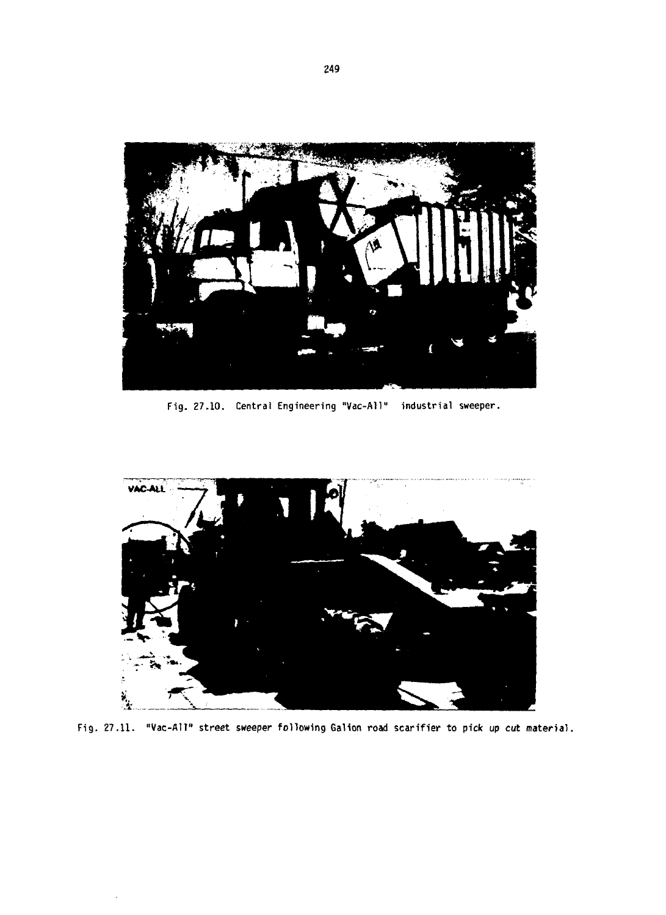

**Fig. 27.10. Central Engineering "Vac-All" industrial sweeper.**



**Fig. 27.11. "Vac-All" street sweeper following Galion road scarifier to pick up cut material.**

 $\overline{a}$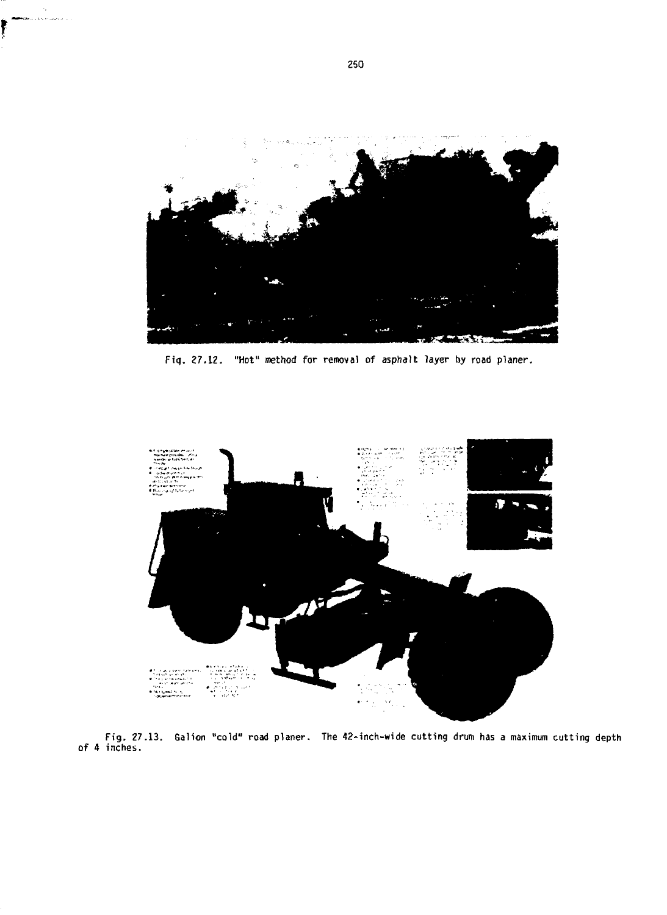

**Fig. 27.12. "Hot" method for removal of asphalt layer by road planer.**



**Fig. 27.13. of 4 inches. Galion "cold" road planer. The 42-inch-wide cutting drum has a maximum cutting depth**

š, .<br>Distribuições de la

f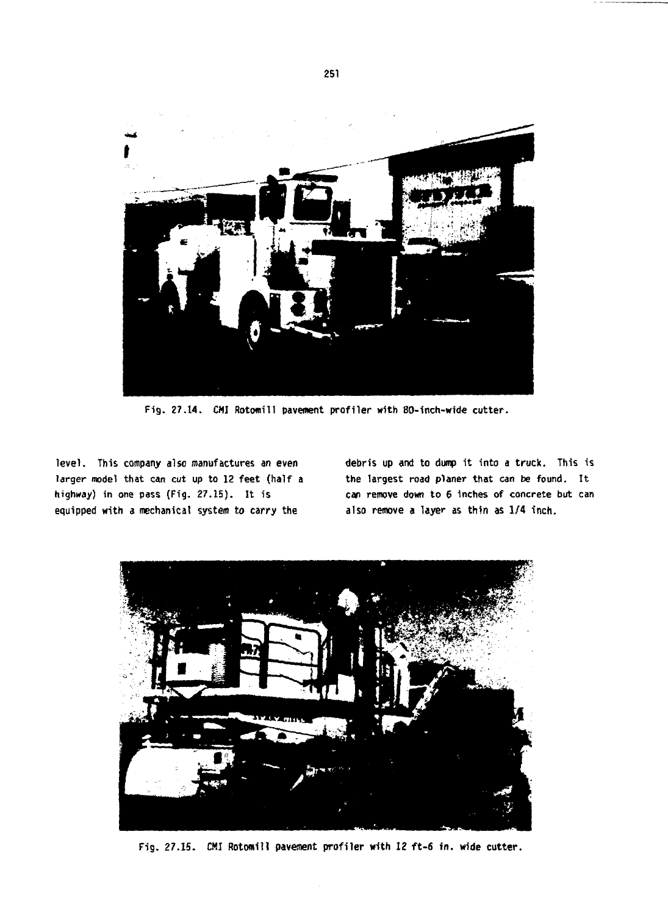

**Fig. 27.14. CM Rotomill pavement profiler with 80-inch-wide cutter.**

**level. This company also manufactures an even larger model that can cut up to 12 feet (half a highway) in one pass (Fig. 27.15). It is equipped with a mechanical system to carry the**

**debris up and to dump it into a truck. This is the largest road planer that can be found. It can remove down to 6 inches of concrete but can also remove a layer as thin as 1/4 inch.**



**Fig. 27.15. CMI Rotomill pavement profiler with 12 ft-6 in. wide cutter.**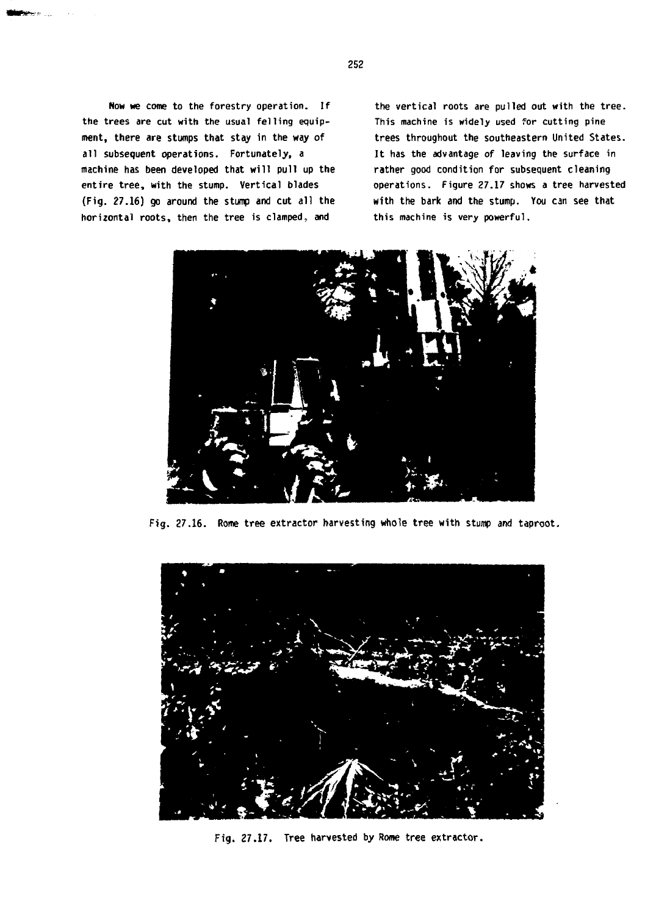**Now we come to the forestry operation. If the trees are cut with the usual felling equipment, there are stumps that stay in the way of all subsequent operations. Fortunately, a machine has been developed that will pull up the entire tree, with the stump. Vertical blades (Fig. 27.16) go around the stump and cut all the horizontal roots, then the tree is clamped, and**

**the vertical roots are pulled out with the tree. This machine is widely used for cutting pine trees throughout the southeastern United States. It has the advantage of leaving the surface in rather good condition for subsequent cleaning operations. Figure 27.17 shows a tree harvested with the bark and the stump. You can see that this machine is very powerful.**



**Fig. 27.16. Rome tree extractor harvesting whole tree with stump and taproot.**



**Fig. 27.17. Tree harvested by Rome tree extractor.**